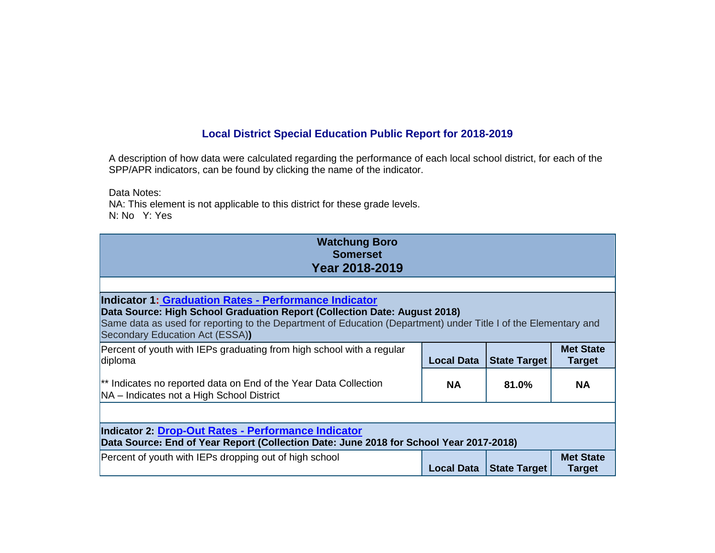## **Local District Special Education Public Report for 2018-2019**

A description of how data were calculated regarding the performance of each local school district, for each of the SPP/APR indicators, can be found by clicking the name of the indicator.

Data Notes:

NA: This element is not applicable to this district for these grade levels. N: No Y: Yes

| <b>Watchung Boro</b><br><b>Somerset</b><br><b>Year 2018-2019</b>                                                                                                                                                                                                                                |                   |                     |                                   |
|-------------------------------------------------------------------------------------------------------------------------------------------------------------------------------------------------------------------------------------------------------------------------------------------------|-------------------|---------------------|-----------------------------------|
|                                                                                                                                                                                                                                                                                                 |                   |                     |                                   |
| <b>Indicator 1: Graduation Rates - Performance Indicator</b><br>Data Source: High School Graduation Report (Collection Date: August 2018)<br>Same data as used for reporting to the Department of Education (Department) under Title I of the Elementary and<br>Secondary Education Act (ESSA)) |                   |                     |                                   |
| Percent of youth with IEPs graduating from high school with a regular<br>diploma                                                                                                                                                                                                                | <b>Local Data</b> | <b>State Target</b> | <b>Met State</b><br><b>Target</b> |
| ** Indicates no reported data on End of the Year Data Collection<br>NA - Indicates not a High School District                                                                                                                                                                                   | <b>NA</b>         | 81.0%               | <b>NA</b>                         |
|                                                                                                                                                                                                                                                                                                 |                   |                     |                                   |
| <b>Indicator 2: Drop-Out Rates - Performance Indicator</b><br>Data Source: End of Year Report (Collection Date: June 2018 for School Year 2017-2018)                                                                                                                                            |                   |                     |                                   |
| Percent of youth with IEPs dropping out of high school                                                                                                                                                                                                                                          | <b>Local Data</b> | <b>State Target</b> | <b>Met State</b><br><b>Target</b> |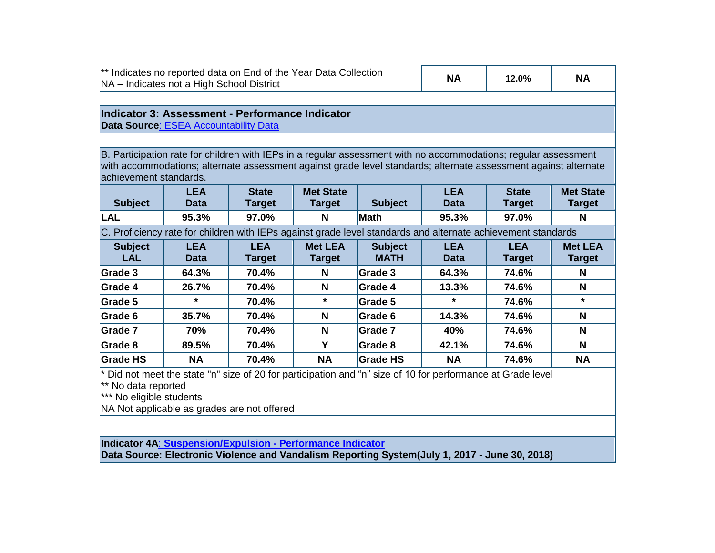| <sup>**</sup> Indicates no reported data on End of the Year Data Collection<br>NA - Indicates not a High School District | <b>NA</b> | 12.0% | <b>NA</b> |
|--------------------------------------------------------------------------------------------------------------------------|-----------|-------|-----------|
|                                                                                                                          |           |       |           |

## **Indicator 3: Assessment - Performance Indicator Data Source**[: ESEA Accountability Data](http://www.state.nj.us/education/title1/accountability/progress/18/pt/districts/)

B. Participation rate for children with IEPs in a regular assessment with no accommodations; regular assessment with accommodations; alternate assessment against grade level standards; alternate assessment against alternate achievement standards.

| <b>Subject</b> | LEA<br>Data | <b>State</b><br><b>Target</b> | <b>Met State</b><br><b>Target</b> | <b>Subject</b> | <b>LEA</b><br><b>Data</b> | <b>State</b><br><b>Target</b> | <b>Met State</b><br><b>Target</b> |
|----------------|-------------|-------------------------------|-----------------------------------|----------------|---------------------------|-------------------------------|-----------------------------------|
| <b>LAL</b>     | 95.3%       | 97.0%                         | N                                 | Math           | 95.3%                     | 97.0%                         | N                                 |
|                | .           | ________                      |                                   |                |                           | ___                           |                                   |

C. Proficiency rate for children with IEPs against grade level standards and alternate achievement standards

| <b>Subject</b><br><b>LAL</b> | <b>LEA</b><br><b>Data</b> | <b>LEA</b><br><b>Target</b> | <b>Met LEA</b><br><b>Target</b> | <b>Subject</b><br><b>MATH</b> | <b>LEA</b><br><b>Data</b> | <b>LEA</b><br><b>Target</b> | <b>Met LEA</b><br><b>Target</b> |
|------------------------------|---------------------------|-----------------------------|---------------------------------|-------------------------------|---------------------------|-----------------------------|---------------------------------|
| Grade 3                      | 64.3%                     | 70.4%                       | N                               | Grade 3                       | 64.3%                     | 74.6%                       | N                               |
| Grade 4                      | 26.7%                     | 70.4%                       | N                               | Grade 4                       | 13.3%                     | 74.6%                       | N                               |
| Grade 5                      | $\star$                   | 70.4%                       | $\star$                         | Grade 5                       | $\star$                   | 74.6%                       | $\star$                         |
| Grade 6                      | 35.7%                     | 70.4%                       | N                               | Grade 6                       | 14.3%                     | 74.6%                       | N                               |
| Grade 7                      | 70%                       | 70.4%                       | N                               | Grade 7                       | 40%                       | 74.6%                       | N                               |
| Grade 8                      | 89.5%                     | 70.4%                       | v                               | Grade 8                       | 42.1%                     | 74.6%                       | N                               |
| <b>Grade HS</b>              | <b>NA</b>                 | 70.4%                       | <b>NA</b>                       | <b>Grade HS</b>               | <b>NA</b>                 | 74.6%                       | <b>NA</b>                       |

 $*$  Did not meet the state "n" size of 20 for participation and "n" size of 10 for performance at Grade level

\*\* No data reported

\*\*\* No eligible students

NA Not applicable as grades are not offered

**Indicator 4A**: **[Suspension/Expulsion -](http://www.state.nj.us/education/specialed/info/spp/data/sppi1819/indicator4.htm) Performance Indicator**

**Data Source: Electronic Violence and Vandalism Reporting System(July 1, 2017 - June 30, 2018)**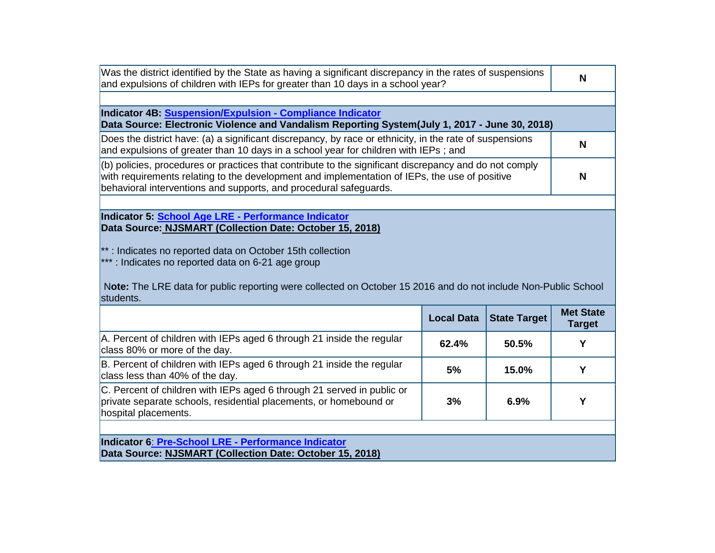| Was the district identified by the State as having a significant discrepancy in the rates of suspensions<br>and expulsions of children with IEPs for greater than 10 days in a school year?                                                                                  | N |
|------------------------------------------------------------------------------------------------------------------------------------------------------------------------------------------------------------------------------------------------------------------------------|---|
|                                                                                                                                                                                                                                                                              |   |
| Indicator 4B: Suspension/Expulsion - Compliance Indicator<br>Data Source: Electronic Violence and Vandalism Reporting System(July 1, 2017 - June 30, 2018)                                                                                                                   |   |
| Does the district have: (a) a significant discrepancy, by race or ethnicity, in the rate of suspensions<br>and expulsions of greater than 10 days in a school year for children with IEPs; and                                                                               | N |
| (b) policies, procedures or practices that contribute to the significant discrepancy and do not comply<br>with requirements relating to the development and implementation of IEPs, the use of positive<br>behavioral interventions and supports, and procedural safeguards. | N |
|                                                                                                                                                                                                                                                                              |   |

**Indicator 5: School Age LRE - [Performance Indicator](http://www.state.nj.us/education/specialed/info/spp/data/sppi1819/indicator5.htm)  Data Source: NJSMART [\(Collection Date: October 15, 2018\)](http://www.state.nj.us/education/specialed/data/2016.htm)**

\*\* : Indicates no reported data on October 15th collection

\*\*\* : Indicates no reported data on 6-21 age group

N**ote:** The LRE data for public reporting were collected on October 15 2016 and do not include Non-Public School students.

|                                                                                                                                                                     | <b>Local Data</b> | <b>State Target</b> | <b>Met State</b><br><b>Target</b> |
|---------------------------------------------------------------------------------------------------------------------------------------------------------------------|-------------------|---------------------|-----------------------------------|
| A. Percent of children with IEPs aged 6 through 21 inside the regular<br>class 80% or more of the day.                                                              | 62.4%             | 50.5%               | v                                 |
| B. Percent of children with IEPs aged 6 through 21 inside the regular<br>class less than 40% of the day.                                                            | 5%                | 15.0%               | ν                                 |
| C. Percent of children with IEPs aged 6 through 21 served in public or<br>private separate schools, residential placements, or homebound or<br>hospital placements. | 3%                | 6.9%                | Υ                                 |
| Indicator 6: Pre-School LRE - Performance Indicator                                                                                                                 |                   |                     |                                   |

**Data Source: NJSMART [\(Collection Date: October 15, 2018\)](http://www.state.nj.us/education/specialed/data/2016.htm)**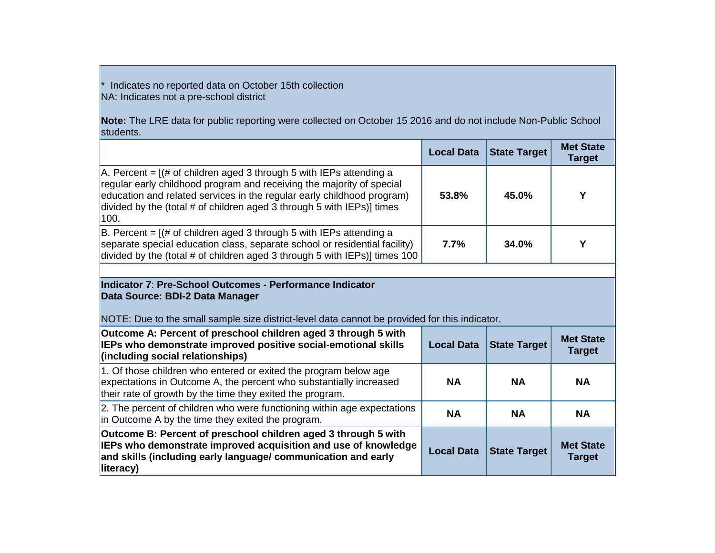\* Indicates no reported data on October 15th collection NA: Indicates not a pre-school district

**Note:** The LRE data for public reporting were collected on October 15 2016 and do not include Non-Public School students.

|                                                                                                                                                                                                                                                                                                                      | <b>Local Data</b> | State Target | <b>Met State</b><br><b>Target</b> |
|----------------------------------------------------------------------------------------------------------------------------------------------------------------------------------------------------------------------------------------------------------------------------------------------------------------------|-------------------|--------------|-----------------------------------|
| $ A$ . Percent = $($ # of children aged 3 through 5 with IEPs attending a<br>regular early childhood program and receiving the majority of special<br>education and related services in the regular early childhood program)<br>divided by the (total $#$ of children aged 3 through 5 with $IEPs$ )] times<br>1100. | 53.8%             | 45.0%        |                                   |
| $ B $ . Percent = $ (#$ of children aged 3 through 5 with IEPs attending a<br>separate special education class, separate school or residential facility)<br>divided by the (total # of children aged 3 through 5 with $EPs$ ) times 100                                                                              | 7.7%              | 34.0%        |                                   |

## **Indicator 7**: **Pre-School Outcomes - Performance Indicator Data Source: BDI-2 Data Manager**

## NOTE: Due to the small sample size district-level data cannot be provided for this indicator.

| Outcome A: Percent of preschool children aged 3 through 5 with<br>IEPs who demonstrate improved positive social-emotional skills<br>(including social relationships)                                           | <b>Local Data</b> | State Target        | <b>Met State</b><br><b>Target</b> |
|----------------------------------------------------------------------------------------------------------------------------------------------------------------------------------------------------------------|-------------------|---------------------|-----------------------------------|
| 1. Of those children who entered or exited the program below age<br>expectations in Outcome A, the percent who substantially increased<br>their rate of growth by the time they exited the program.            | <b>NA</b>         | <b>NA</b>           | <b>NA</b>                         |
| 2. The percent of children who were functioning within age expectations<br>in Outcome A by the time they exited the program.                                                                                   | <b>NA</b>         | <b>NA</b>           | <b>NA</b>                         |
| Outcome B: Percent of preschool children aged 3 through 5 with<br>IEPs who demonstrate improved acquisition and use of knowledge<br>and skills (including early language/ communication and early<br>literacy) | <b>Local Data</b> | <b>State Target</b> | <b>Met State</b><br><b>Target</b> |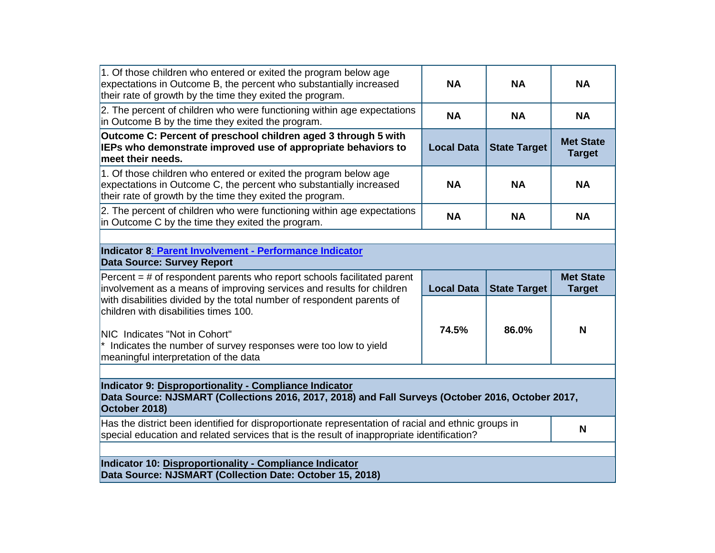| 1. Of those children who entered or exited the program below age<br>expectations in Outcome B, the percent who substantially increased<br>their rate of growth by the time they exited the program.                                                                                 | <b>NA</b>         | <b>NA</b>           | <b>NA</b>                         |  |
|-------------------------------------------------------------------------------------------------------------------------------------------------------------------------------------------------------------------------------------------------------------------------------------|-------------------|---------------------|-----------------------------------|--|
| 2. The percent of children who were functioning within age expectations<br>in Outcome B by the time they exited the program.                                                                                                                                                        | <b>NA</b>         | <b>NA</b>           | <b>NA</b>                         |  |
| Outcome C: Percent of preschool children aged 3 through 5 with<br><b>IEPs who demonstrate improved use of appropriate behaviors to</b><br>meet their needs.                                                                                                                         | <b>Local Data</b> | <b>State Target</b> | <b>Met State</b><br><b>Target</b> |  |
| 1. Of those children who entered or exited the program below age<br>expectations in Outcome C, the percent who substantially increased<br>their rate of growth by the time they exited the program.                                                                                 | <b>NA</b>         | <b>NA</b>           | <b>NA</b>                         |  |
| 2. The percent of children who were functioning within age expectations<br>in Outcome C by the time they exited the program.                                                                                                                                                        | <b>NA</b>         | <b>NA</b>           | <b>NA</b>                         |  |
| Indicator 8: Parent Involvement - Performance Indicator<br><b>Data Source: Survey Report</b>                                                                                                                                                                                        |                   |                     |                                   |  |
| Percent $=$ # of respondent parents who report schools facilitated parent<br>involvement as a means of improving services and results for children<br>with disabilities divided by the total number of respondent parents of<br>children with disabilities times 100.               | <b>Local Data</b> | <b>State Target</b> | <b>Met State</b><br><b>Target</b> |  |
| <b>NIC</b> Indicates "Not in Cohort"<br>Indicates the number of survey responses were too low to yield<br>meaningful interpretation of the data                                                                                                                                     | 74.5%             | 86.0%               | N                                 |  |
| Indicator 9: Disproportionality - Compliance Indicator<br>Data Source: NJSMART (Collections 2016, 2017, 2018) and Fall Surveys (October 2016, October 2017,<br>October 2018)<br>Has the district been identified for disproportionate representation of racial and ethnic groups in |                   |                     |                                   |  |
| special education and related services that is the result of inappropriate identification?                                                                                                                                                                                          |                   |                     | N                                 |  |
| Indicator 10: Disproportionality - Compliance Indicator<br>Data Source: NJSMART (Collection Date: October 15, 2018)                                                                                                                                                                 |                   |                     |                                   |  |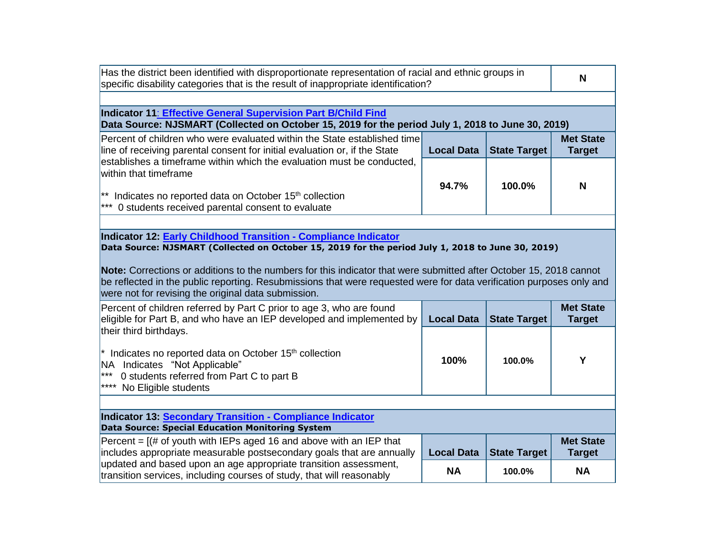| Has the district been identified with disproportionate representation of racial and ethnic groups in<br>specific disability categories that is the result of inappropriate identification?                                                                                                                                                                                                             |                   |                     |                                   |  |
|--------------------------------------------------------------------------------------------------------------------------------------------------------------------------------------------------------------------------------------------------------------------------------------------------------------------------------------------------------------------------------------------------------|-------------------|---------------------|-----------------------------------|--|
|                                                                                                                                                                                                                                                                                                                                                                                                        |                   |                     |                                   |  |
| Indicator 11: Effective General Supervision Part B/Child Find<br>Data Source: NJSMART (Collected on October 15, 2019 for the period July 1, 2018 to June 30, 2019)                                                                                                                                                                                                                                     |                   |                     |                                   |  |
| Percent of children who were evaluated within the State established time<br>line of receiving parental consent for initial evaluation or, if the State                                                                                                                                                                                                                                                 | <b>Local Data</b> | <b>State Target</b> | <b>Met State</b><br><b>Target</b> |  |
| establishes a timeframe within which the evaluation must be conducted,<br>within that timeframe                                                                                                                                                                                                                                                                                                        | 94.7%             | 100.0%              | N                                 |  |
| $*$ Indicates no reported data on October 15 <sup>th</sup> collection<br>*** 0 students received parental consent to evaluate                                                                                                                                                                                                                                                                          |                   |                     |                                   |  |
|                                                                                                                                                                                                                                                                                                                                                                                                        |                   |                     |                                   |  |
| Data Source: NJSMART (Collected on October 15, 2019 for the period July 1, 2018 to June 30, 2019)<br>Note: Corrections or additions to the numbers for this indicator that were submitted after October 15, 2018 cannot<br>be reflected in the public reporting. Resubmissions that were requested were for data verification purposes only and<br>were not for revising the original data submission. |                   |                     |                                   |  |
| Percent of children referred by Part C prior to age 3, who are found<br>eligible for Part B, and who have an IEP developed and implemented by<br>their third birthdays.                                                                                                                                                                                                                                | <b>Local Data</b> | <b>State Target</b> | <b>Met State</b><br><b>Target</b> |  |
| $*$ Indicates no reported data on October 15 <sup>th</sup> collection<br>NA Indicates "Not Applicable"<br>***<br>0 students referred from Part C to part B<br>**** No Eligible students                                                                                                                                                                                                                | 100%              | 100.0%              | Y                                 |  |
|                                                                                                                                                                                                                                                                                                                                                                                                        |                   |                     |                                   |  |
| Indicator 13: Secondary Transition - Compliance Indicator<br><b>Data Source: Special Education Monitoring System</b>                                                                                                                                                                                                                                                                                   |                   |                     |                                   |  |
| Percent = $[(# of youth with IEPs aged 16 and above with an IEP that$<br>includes appropriate measurable postsecondary goals that are annually                                                                                                                                                                                                                                                         | <b>Local Data</b> | <b>State Target</b> | <b>Met State</b><br><b>Target</b> |  |
| updated and based upon an age appropriate transition assessment,<br>transition services, including courses of study, that will reasonably                                                                                                                                                                                                                                                              | <b>NA</b>         | 100.0%              | <b>NA</b>                         |  |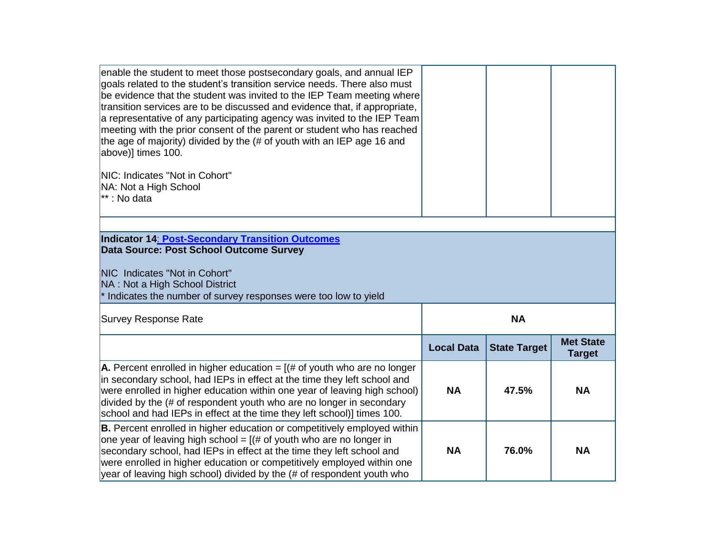| enable the student to meet those postsecondary goals, and annual IEP<br>goals related to the student's transition service needs. There also must<br>be evidence that the student was invited to the IEP Team meeting where<br>transition services are to be discussed and evidence that, if appropriate,<br>a representative of any participating agency was invited to the IEP Team<br>meeting with the prior consent of the parent or student who has reached<br>the age of majority) divided by the (# of youth with an IEP age 16 and<br>above)] times 100.<br>NIC: Indicates "Not in Cohort"<br>NA: Not a High School<br><sup>**</sup> : No data |                   |                     |                  |
|-------------------------------------------------------------------------------------------------------------------------------------------------------------------------------------------------------------------------------------------------------------------------------------------------------------------------------------------------------------------------------------------------------------------------------------------------------------------------------------------------------------------------------------------------------------------------------------------------------------------------------------------------------|-------------------|---------------------|------------------|
|                                                                                                                                                                                                                                                                                                                                                                                                                                                                                                                                                                                                                                                       |                   |                     |                  |
| Indicator 14: Post-Secondary Transition Outcomes                                                                                                                                                                                                                                                                                                                                                                                                                                                                                                                                                                                                      |                   |                     |                  |
| Data Source: Post School Outcome Survey                                                                                                                                                                                                                                                                                                                                                                                                                                                                                                                                                                                                               |                   |                     |                  |
|                                                                                                                                                                                                                                                                                                                                                                                                                                                                                                                                                                                                                                                       |                   |                     |                  |
| NIC Indicates "Not in Cohort"                                                                                                                                                                                                                                                                                                                                                                                                                                                                                                                                                                                                                         |                   |                     |                  |
| NA: Not a High School District                                                                                                                                                                                                                                                                                                                                                                                                                                                                                                                                                                                                                        |                   |                     |                  |
| $*$ Indicates the number of survey responses were too low to yield                                                                                                                                                                                                                                                                                                                                                                                                                                                                                                                                                                                    |                   |                     |                  |
|                                                                                                                                                                                                                                                                                                                                                                                                                                                                                                                                                                                                                                                       |                   |                     |                  |
| <b>Survey Response Rate</b>                                                                                                                                                                                                                                                                                                                                                                                                                                                                                                                                                                                                                           |                   | <b>NA</b>           |                  |
|                                                                                                                                                                                                                                                                                                                                                                                                                                                                                                                                                                                                                                                       |                   |                     | <b>Met State</b> |
|                                                                                                                                                                                                                                                                                                                                                                                                                                                                                                                                                                                                                                                       | <b>Local Data</b> | <b>State Target</b> | <b>Target</b>    |
|                                                                                                                                                                                                                                                                                                                                                                                                                                                                                                                                                                                                                                                       |                   |                     |                  |
| A. Percent enrolled in higher education = $($ # of youth who are no longer                                                                                                                                                                                                                                                                                                                                                                                                                                                                                                                                                                            |                   |                     |                  |
| in secondary school, had IEPs in effect at the time they left school and                                                                                                                                                                                                                                                                                                                                                                                                                                                                                                                                                                              |                   |                     |                  |
| were enrolled in higher education within one year of leaving high school)                                                                                                                                                                                                                                                                                                                                                                                                                                                                                                                                                                             | <b>NA</b>         | 47.5%               | <b>NA</b>        |
| divided by the (# of respondent youth who are no longer in secondary                                                                                                                                                                                                                                                                                                                                                                                                                                                                                                                                                                                  |                   |                     |                  |
| school and had IEPs in effect at the time they left school)] times 100.                                                                                                                                                                                                                                                                                                                                                                                                                                                                                                                                                                               |                   |                     |                  |
| <b>B.</b> Percent enrolled in higher education or competitively employed within                                                                                                                                                                                                                                                                                                                                                                                                                                                                                                                                                                       |                   |                     |                  |
|                                                                                                                                                                                                                                                                                                                                                                                                                                                                                                                                                                                                                                                       |                   |                     |                  |
| one year of leaving high school = $($ # of youth who are no longer in                                                                                                                                                                                                                                                                                                                                                                                                                                                                                                                                                                                 |                   |                     |                  |
| secondary school, had IEPs in effect at the time they left school and                                                                                                                                                                                                                                                                                                                                                                                                                                                                                                                                                                                 | <b>NA</b>         | 76.0%               | <b>NA</b>        |
| were enrolled in higher education or competitively employed within one<br>year of leaving high school) divided by the (# of respondent youth who                                                                                                                                                                                                                                                                                                                                                                                                                                                                                                      |                   |                     |                  |